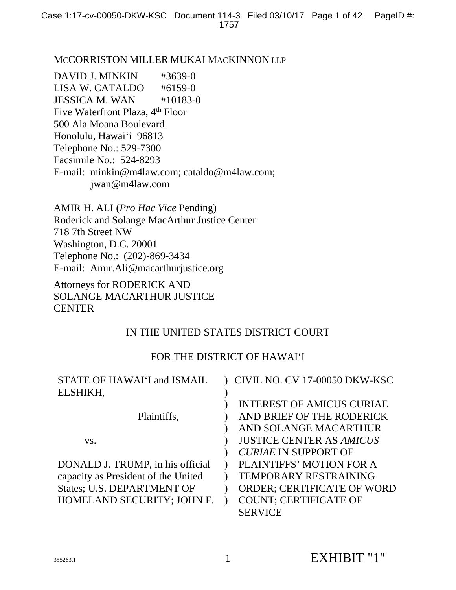#### MCCORRISTON MILLER MUKAI MACKINNON LLP

DAVID J. MINKIN #3639-0 LISA W. CATALDO #6159-0  $JESSICA M. WAN$   $\#10183-0$ Five Waterfront Plaza, 4<sup>th</sup> Floor 500 Ala Moana Boulevard Honolulu, Hawai'i 96813 Telephone No.: 529-7300 Facsimile No.: 524-8293 E-mail: minkin@m4law.com; cataldo@m4law.com; jwan@m4law.com

AMIR H. ALI (*Pro Hac Vice* Pending) Roderick and Solange MacArthur Justice Center 718 7th Street NW Washington, D.C. 20001 Telephone No.: (202)-869-3434 E-mail: Amir.Ali@macarthurjustice.org

Attorneys for RODERICK AND SOLANGE MACARTHUR JUSTICE **CENTER** 

## IN THE UNITED STATES DISTRICT COURT

#### FOR THE DISTRICT OF HAWAI'I

| STATE OF HAWAI'I and ISMAIL<br>ELSHIKH, |  | CIVIL NO. CV 17-00050 DKW-KSC     |
|-----------------------------------------|--|-----------------------------------|
|                                         |  | <b>INTEREST OF AMICUS CURIAE</b>  |
| Plaintiffs,                             |  | AND BRIEF OF THE RODERICK         |
|                                         |  | AND SOLANGE MACARTHUR             |
| VS.                                     |  | <b>JUSTICE CENTER AS AMICUS</b>   |
|                                         |  | <b>CURIAE IN SUPPORT OF</b>       |
| DONALD J. TRUMP, in his official        |  | PLAINTIFFS' MOTION FOR A          |
| capacity as President of the United     |  | <b>TEMPORARY RESTRAINING</b>      |
| States; U.S. DEPARTMENT OF              |  | <b>ORDER; CERTIFICATE OF WORD</b> |
| HOMELAND SECURITY; JOHN F.              |  | <b>COUNT; CERTIFICATE OF</b>      |
|                                         |  | <b>SERVICE</b>                    |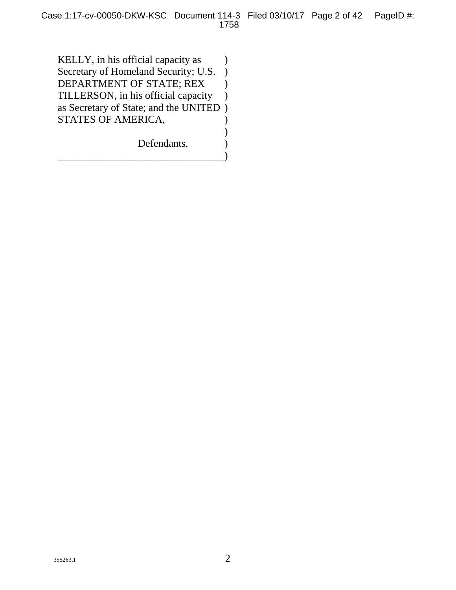) )

KELLY, in his official capacity as Secretary of Homeland Security; U.S. DEPARTMENT OF STATE; REX TILLERSON, in his official capacity as Secretary of State; and the UNITED ) STATES OF AMERICA,  $\mathcal{L}$  $\mathcal{L}$ ) ) ) )

\_\_\_\_\_\_\_\_\_\_\_\_\_\_\_\_\_\_\_\_\_\_\_\_\_\_\_\_\_\_\_\_

Defendants.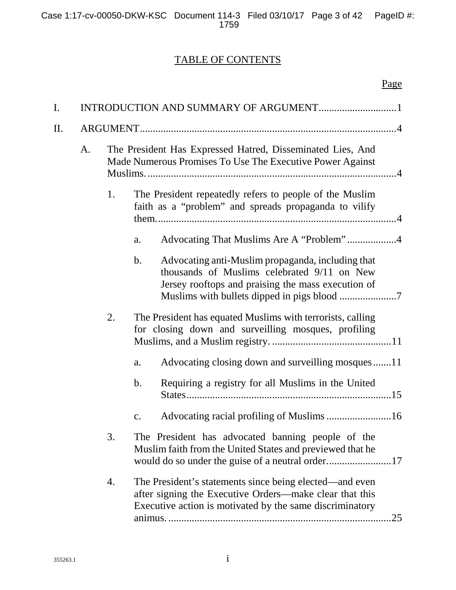# TABLE OF CONTENTS

| A. |    | The President Has Expressed Hatred, Disseminated Lies, And<br>Made Numerous Promises To Use The Executive Power Against                                                        |
|----|----|--------------------------------------------------------------------------------------------------------------------------------------------------------------------------------|
|    | 1. | The President repeatedly refers to people of the Muslim<br>faith as a "problem" and spreads propaganda to vilify                                                               |
|    |    | Advocating That Muslims Are A "Problem" 4<br>a.                                                                                                                                |
|    |    | Advocating anti-Muslim propaganda, including that<br>$\mathbf b$ .<br>thousands of Muslims celebrated 9/11 on New<br>Jersey rooftops and praising the mass execution of        |
|    | 2. | The President has equated Muslims with terrorists, calling<br>for closing down and surveilling mosques, profiling                                                              |
|    |    | Advocating closing down and surveilling mosques11<br>a.                                                                                                                        |
|    |    | $\mathbf b$ .<br>Requiring a registry for all Muslims in the United                                                                                                            |
|    |    | $\mathbf{c}$ .                                                                                                                                                                 |
|    | 3. | The President has advocated banning people of the<br>Muslim faith from the United States and previewed that he<br>would do so under the guise of a neutral order17             |
|    | 4. | The President's statements since being elected—and even<br>after signing the Executive Orders—make clear that this<br>Executive action is motivated by the same discriminatory |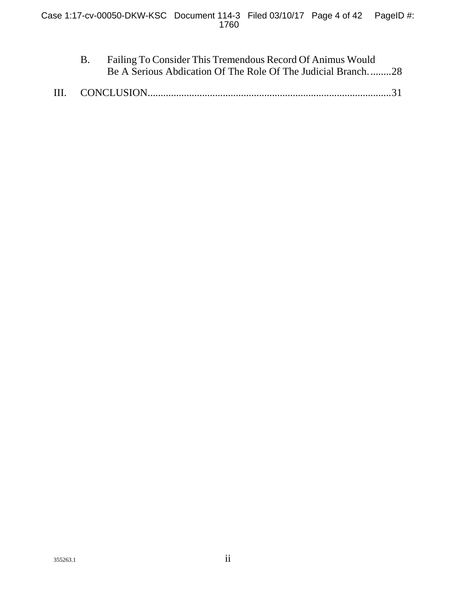|  | B. Failing To Consider This Tremendous Record Of Animus Would |
|--|---------------------------------------------------------------|
|  | Be A Serious Abdication Of The Role Of The Judicial Branch28  |
|  |                                                               |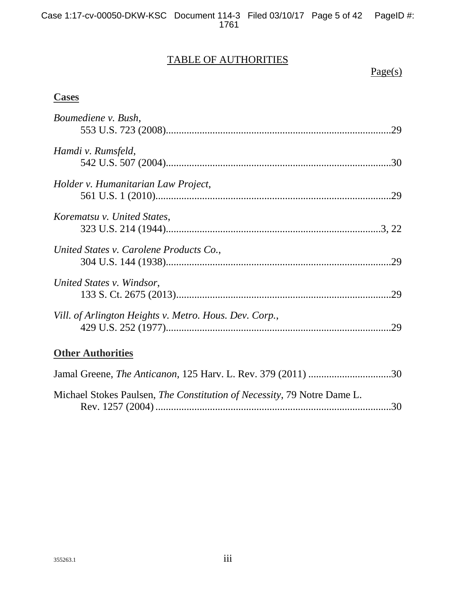## TABLE OF AUTHORITIES

Page(s)

## **Cases**

| Boumediene v. Bush,                                    |     |
|--------------------------------------------------------|-----|
|                                                        | .29 |
|                                                        |     |
| Hamdi v. Rumsfeld,                                     |     |
|                                                        | .30 |
|                                                        |     |
| Holder v. Humanitarian Law Project,                    |     |
|                                                        | .29 |
| Korematsu v. United States,                            |     |
|                                                        |     |
|                                                        |     |
| United States v. Carolene Products Co.,                |     |
|                                                        | .29 |
|                                                        |     |
| United States v. Windsor,                              |     |
|                                                        | .29 |
| Vill. of Arlington Heights v. Metro. Hous. Dev. Corp., |     |
|                                                        | 29  |
|                                                        |     |
|                                                        |     |
| <b>Other Authorities</b>                               |     |

| Michael Stokes Paulsen, <i>The Constitution of Necessity</i> , 79 Notre Dame L. |  |
|---------------------------------------------------------------------------------|--|
|                                                                                 |  |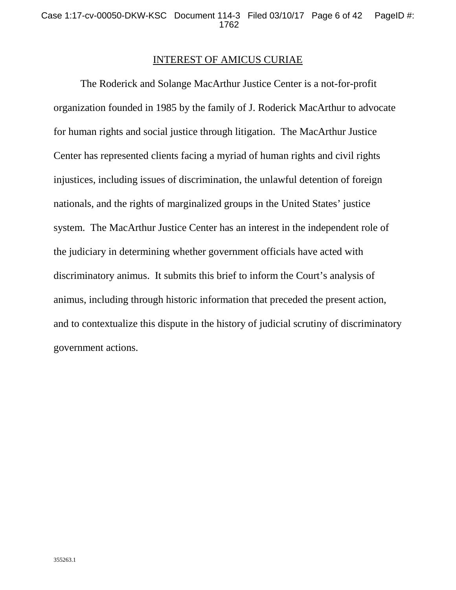#### INTEREST OF AMICUS CURIAE

The Roderick and Solange MacArthur Justice Center is a not-for-profit organization founded in 1985 by the family of J. Roderick MacArthur to advocate for human rights and social justice through litigation. The MacArthur Justice Center has represented clients facing a myriad of human rights and civil rights injustices, including issues of discrimination, the unlawful detention of foreign nationals, and the rights of marginalized groups in the United States' justice system. The MacArthur Justice Center has an interest in the independent role of the judiciary in determining whether government officials have acted with discriminatory animus. It submits this brief to inform the Court's analysis of animus, including through historic information that preceded the present action, and to contextualize this dispute in the history of judicial scrutiny of discriminatory government actions.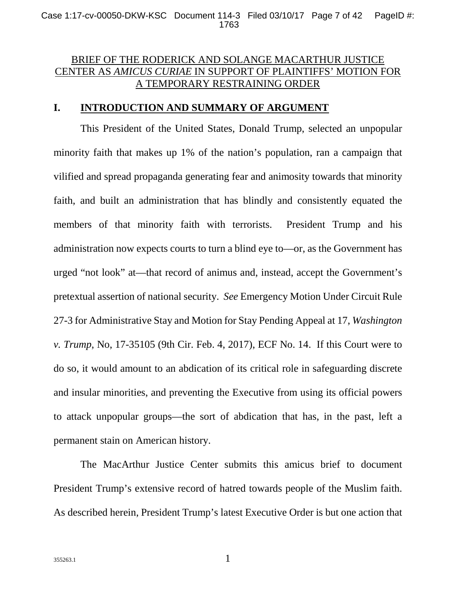## BRIEF OF THE RODERICK AND SOLANGE MACARTHUR JUSTICE CENTER AS *AMICUS CURIAE* IN SUPPORT OF PLAINTIFFS' MOTION FOR A TEMPORARY RESTRAINING ORDER

### <span id="page-6-0"></span>**I. INTRODUCTION AND SUMMARY OF ARGUMENT**

This President of the United States, Donald Trump, selected an unpopular minority faith that makes up 1% of the nation's population, ran a campaign that vilified and spread propaganda generating fear and animosity towards that minority faith, and built an administration that has blindly and consistently equated the members of that minority faith with terrorists. President Trump and his administration now expects courts to turn a blind eye to—or, as the Government has urged "not look" at—that record of animus and, instead, accept the Government's pretextual assertion of national security. *See* Emergency Motion Under Circuit Rule 27-3 for Administrative Stay and Motion for Stay Pending Appeal at 17, *Washington v. Trump*, No, 17-35105 (9th Cir. Feb. 4, 2017), ECF No. 14. If this Court were to do so, it would amount to an abdication of its critical role in safeguarding discrete and insular minorities, and preventing the Executive from using its official powers to attack unpopular groups—the sort of abdication that has, in the past, left a permanent stain on American history.

The MacArthur Justice Center submits this amicus brief to document President Trump's extensive record of hatred towards people of the Muslim faith. As described herein, President Trump's latest Executive Order is but one action that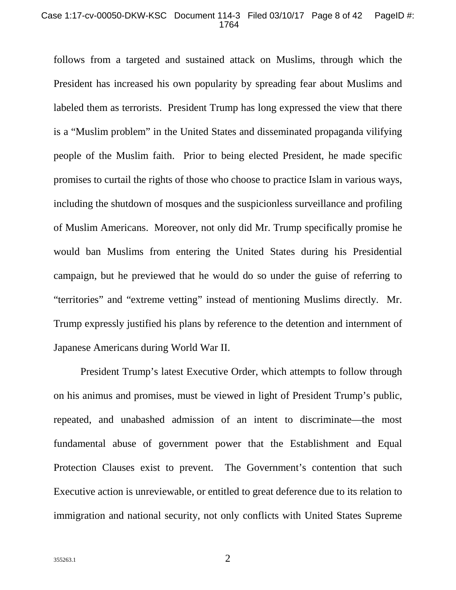#### Case 1:17-cv-00050-DKW-KSC Document 114-3 Filed 03/10/17 Page 8 of 42 PageID #: 1764

follows from a targeted and sustained attack on Muslims, through which the President has increased his own popularity by spreading fear about Muslims and labeled them as terrorists. President Trump has long expressed the view that there is a "Muslim problem" in the United States and disseminated propaganda vilifying people of the Muslim faith. Prior to being elected President, he made specific promises to curtail the rights of those who choose to practice Islam in various ways, including the shutdown of mosques and the suspicionless surveillance and profiling of Muslim Americans. Moreover, not only did Mr. Trump specifically promise he would ban Muslims from entering the United States during his Presidential campaign, but he previewed that he would do so under the guise of referring to "territories" and "extreme vetting" instead of mentioning Muslims directly. Mr. Trump expressly justified his plans by reference to the detention and internment of Japanese Americans during World War II.

President Trump's latest Executive Order, which attempts to follow through on his animus and promises, must be viewed in light of President Trump's public, repeated, and unabashed admission of an intent to discriminate—the most fundamental abuse of government power that the Establishment and Equal Protection Clauses exist to prevent. The Government's contention that such Executive action is unreviewable, or entitled to great deference due to its relation to immigration and national security, not only conflicts with United States Supreme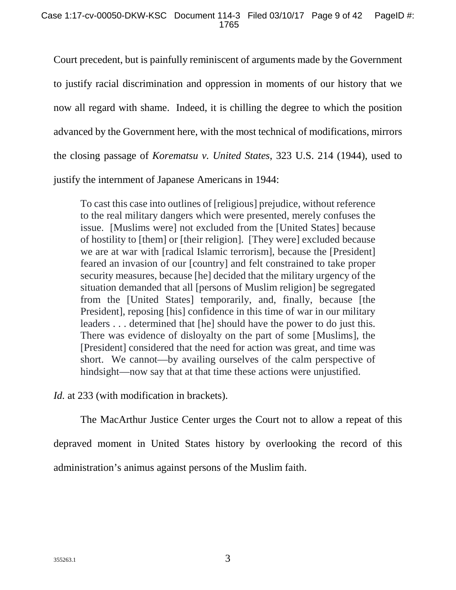Court precedent, but is painfully reminiscent of arguments made by the Government to justify racial discrimination and oppression in moments of our history that we now all regard with shame. Indeed, it is chilling the degree to which the position advanced by the Government here, with the most technical of modifications, mirrors the closing passage of *Korematsu v. United States*, 323 U.S. 214 (1944), used to justify the internment of Japanese Americans in 1944:

To cast this case into outlines of [religious] prejudice, without reference to the real military dangers which were presented, merely confuses the issue. [Muslims were] not excluded from the [United States] because of hostility to [them] or [their religion]. [They were] excluded because we are at war with [radical Islamic terrorism], because the [President] feared an invasion of our [country] and felt constrained to take proper security measures, because [he] decided that the military urgency of the situation demanded that all [persons of Muslim religion] be segregated from the [United States] temporarily, and, finally, because [the President], reposing [his] confidence in this time of war in our military leaders . . . determined that [he] should have the power to do just this. There was evidence of disloyalty on the part of some [Muslims], the [President] considered that the need for action was great, and time was short. We cannot—by availing ourselves of the calm perspective of hindsight—now say that at that time these actions were unjustified.

*Id.* at 233 (with modification in brackets).

The MacArthur Justice Center urges the Court not to allow a repeat of this

depraved moment in United States history by overlooking the record of this

administration's animus against persons of the Muslim faith.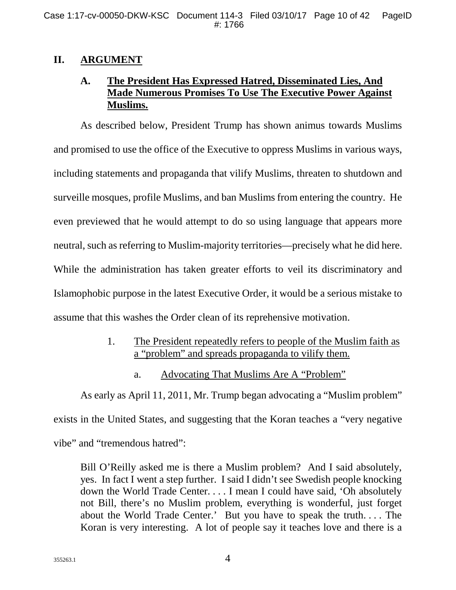## **II. ARGUMENT**

## <span id="page-9-1"></span><span id="page-9-0"></span>**A. The President Has Expressed Hatred, Disseminated Lies, And Made Numerous Promises To Use The Executive Power Against Muslims.**

 As described below, President Trump has shown animus towards Muslims and promised to use the office of the Executive to oppress Muslims in various ways, including statements and propaganda that vilify Muslims, threaten to shutdown and surveille mosques, profile Muslims, and ban Muslims from entering the country. He even previewed that he would attempt to do so using language that appears more neutral, such as referring to Muslim-majority territories—precisely what he did here. While the administration has taken greater efforts to veil its discriminatory and Islamophobic purpose in the latest Executive Order, it would be a serious mistake to assume that this washes the Order clean of its reprehensive motivation.

- <span id="page-9-2"></span>1. The President repeatedly refers to people of the Muslim faith as a "problem" and spreads propaganda to vilify them.
	- a. Advocating That Muslims Are A "Problem"

<span id="page-9-3"></span>As early as April 11, 2011, Mr. Trump began advocating a "Muslim problem" exists in the United States, and suggesting that the Koran teaches a "very negative vibe" and "tremendous hatred":

Bill O'Reilly asked me is there a Muslim problem? And I said absolutely, yes. In fact I went a step further. I said I didn't see Swedish people knocking down the World Trade Center. . . . I mean I could have said, 'Oh absolutely not Bill, there's no Muslim problem, everything is wonderful, just forget about the World Trade Center.' But you have to speak the truth. . . . The Koran is very interesting. A lot of people say it teaches love and there is a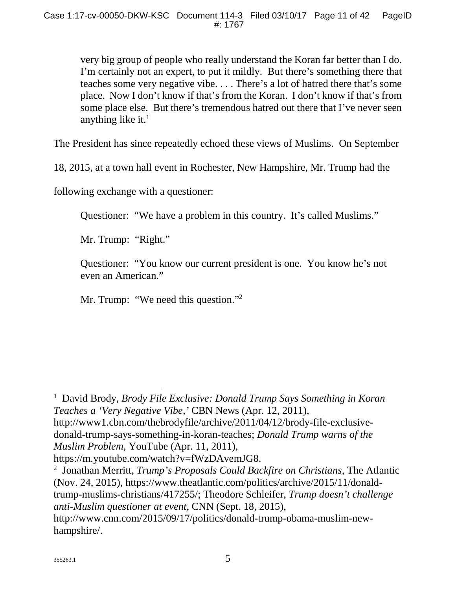very big group of people who really understand the Koran far better than I do. I'm certainly not an expert, to put it mildly. But there's something there that teaches some very negative vibe. . . . There's a lot of hatred there that's some place. Now I don't know if that's from the Koran. I don't know if that's from some place else. But there's tremendous hatred out there that I've never seen anything like it. $<sup>1</sup>$  $<sup>1</sup>$  $<sup>1</sup>$ </sup>

The President has since repeatedly echoed these views of Muslims. On September

18, 2015, at a town hall event in Rochester, New Hampshire, Mr. Trump had the

following exchange with a questioner:

Questioner: "We have a problem in this country. It's called Muslims."

Mr. Trump: "Right."

Questioner: "You know our current president is one. You know he's not even an American."

Mr. Trump: "We need this question."<sup>[2](#page-10-1)</sup>

http://www1.cbn.com/thebrodyfile/archive/2011/04/12/brody-file-exclusivedonald-trump-says-something-in-koran-teaches; *Donald Trump warns of the Muslim Problem*, YouTube (Apr. 11, 2011),

<span id="page-10-1"></span>https://m.youtube.com/watch?v=fWzDAvemJG8.

2 Jonathan Merritt, *Trump's Proposals Could Backfire on Christians*, The Atlantic (Nov. 24, 2015), https://www.theatlantic.com/politics/archive/2015/11/donaldtrump-muslims-christians/417255/; Theodore Schleifer, *Trump doesn't challenge anti-Muslim questioner at event*, CNN (Sept. 18, 2015),

http://www.cnn.com/2015/09/17/politics/donald-trump-obama-muslim-newhampshire/.

<span id="page-10-0"></span><sup>&</sup>lt;sup>1</sup> David Brody, *Brody File Exclusive: Donald Trump Says Something in Koran Teaches a 'Very Negative Vibe,'* CBN News (Apr. 12, 2011),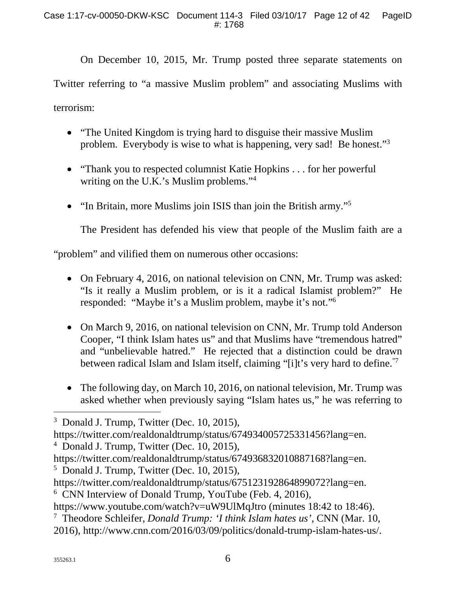On December 10, 2015, Mr. Trump posted three separate statements on Twitter referring to "a massive Muslim problem" and associating Muslims with terrorism:

- "The United Kingdom is trying hard to disguise their massive Muslim problem. Everybody is wise to what is happening, very sad! Be honest."[3](#page-11-0)
- "Thank you to respected columnist Katie Hopkins . . . for her powerful writing on the U.K.'s Muslim problems."<sup>[4](#page-11-1)</sup>
- "In Britain, more Muslims join ISIS than join the British army."<sup>[5](#page-11-2)</sup>

The President has defended his view that people of the Muslim faith are a

"problem" and vilified them on numerous other occasions:

- On February 4, 2016, on national television on CNN, Mr. Trump was asked: "Is it really a Muslim problem, or is it a radical Islamist problem?" He responded: "Maybe it's a Muslim problem, maybe it's not."[6](#page-11-3)
- On March 9, 2016, on national television on CNN, Mr. Trump told Anderson Cooper, "I think Islam hates us" and that Muslims have "tremendous hatred" and "unbelievable hatred." He rejected that a distinction could be drawn between radical Islam and Islam itself, claiming "[i]t's very hard to define."
- The following day, on March 10, 2016, on national television, Mr. Trump was asked whether when previously saying "Islam hates us," he was referring to

https://twitter.com/realdonaldtrump/status/674934005725331456?lang=en.

<span id="page-11-1"></span>4 Donald J. Trump, Twitter (Dec. 10, 2015),

<span id="page-11-2"></span>5 Donald J. Trump, Twitter (Dec. 10, 2015),

<span id="page-11-3"></span>6 CNN Interview of Donald Trump, YouTube (Feb. 4, 2016),

https://www.youtube.com/watch?v=uW9UlMqJtro (minutes 18:42 to 18:46).

<span id="page-11-4"></span>7 Theodore Schleifer, *Donald Trump: 'I think Islam hates us'*, CNN (Mar. 10, 2016), http://www.cnn.com/2016/03/09/politics/donald-trump-islam-hates-us/.

<span id="page-11-0"></span><sup>&</sup>lt;sup>3</sup> Donald J. Trump, Twitter (Dec. 10, 2015),

https://twitter.com/realdonaldtrump/status/674936832010887168?lang=en.

https://twitter.com/realdonaldtrump/status/675123192864899072?lang=en.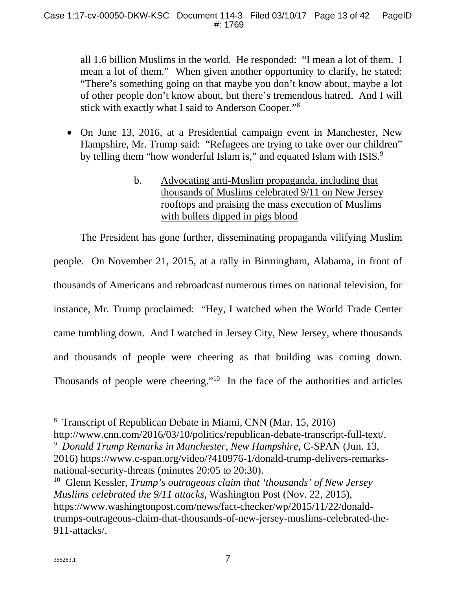all 1.6 billion Muslims in the world. He responded: "I mean a lot of them. I mean a lot of them." When given another opportunity to clarify, he stated: "There's something going on that maybe you don't know about, maybe a lot of other people don't know about, but there's tremendous hatred. And I will stick with exactly what I said to Anderson Cooper."[8](#page-12-1)

- <span id="page-12-0"></span>• On June 13, 2016, at a Presidential campaign event in Manchester, New Hampshire, Mr. Trump said: "Refugees are trying to take over our children" by telling them "how wonderful Islam is," and equated Islam with ISIS.<sup>[9](#page-12-2)</sup>
	- b. Advocating anti-Muslim propaganda, including that thousands of Muslims celebrated 9/11 on New Jersey rooftops and praising the mass execution of Muslims with bullets dipped in pigs blood

 The President has gone further, disseminating propaganda vilifying Muslim people. On November 21, 2015, at a rally in Birmingham, Alabama, in front of thousands of Americans and rebroadcast numerous times on national television, for instance, Mr. Trump proclaimed: "Hey, I watched when the World Trade Center came tumbling down. And I watched in Jersey City, New Jersey, where thousands and thousands of people were cheering as that building was coming down. Thousands of people were cheering."[10](#page-12-3) In the face of the authorities and articles

http://www.cnn.com/2016/03/10/politics/republican-debate-transcript-full-text/.

<span id="page-12-2"></span><sup>9</sup> *Donald Trump Remarks in Manchester, New Hampshire*, C-SPAN (Jun. 13, 2016) https://www.c-span.org/video/?410976-1/donald-trump-delivers-remarksnational-security-threats (minutes 20:05 to 20:30).

<span id="page-12-3"></span><sup>10</sup> Glenn Kessler, *Trump's outrageous claim that 'thousands' of New Jersey Muslims celebrated the 9/11 attacks*, Washington Post (Nov. 22, 2015), https://www.washingtonpost.com/news/fact-checker/wp/2015/11/22/donaldtrumps-outrageous-claim-that-thousands-of-new-jersey-muslims-celebrated-the-911-attacks/.

<span id="page-12-1"></span><sup>8</sup> Transcript of Republican Debate in Miami, CNN (Mar. 15, 2016)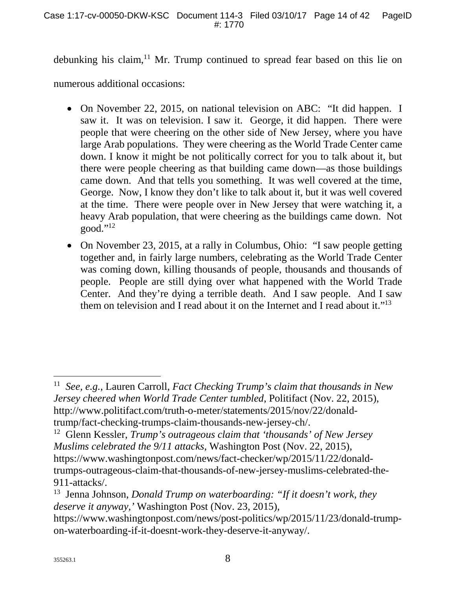debunking his claim,  $11$  Mr. Trump continued to spread fear based on this lie on

numerous additional occasions:

- On November 22, 2015, on national television on ABC: "It did happen. I saw it. It was on television. I saw it. George, it did happen. There were people that were cheering on the other side of New Jersey, where you have large Arab populations. They were cheering as the World Trade Center came down. I know it might be not politically correct for you to talk about it, but there were people cheering as that building came down—as those buildings came down. And that tells you something. It was well covered at the time, George. Now, I know they don't like to talk about it, but it was well covered at the time. There were people over in New Jersey that were watching it, a heavy Arab population, that were cheering as the buildings came down. Not good."[12](#page-13-1)
- On November 23, 2015, at a rally in Columbus, Ohio: "I saw people getting together and, in fairly large numbers, celebrating as the World Trade Center was coming down, killing thousands of people, thousands and thousands of people. People are still dying over what happened with the World Trade Center. And they're dying a terrible death. And I saw people. And I saw them on television and I read about it on the Internet and I read about it."<sup>[13](#page-13-2)</sup>

<span id="page-13-0"></span><sup>11</sup> *See, e.g.*, Lauren Carroll, *Fact Checking Trump's claim that thousands in New Jersey cheered when World Trade Center tumbled*, Politifact (Nov. 22, 2015), http://www.politifact.com/truth-o-meter/statements/2015/nov/22/donaldtrump/fact-checking-trumps-claim-thousands-new-jersey-ch/.

<span id="page-13-1"></span><sup>12</sup> Glenn Kessler, *Trump's outrageous claim that 'thousands' of New Jersey Muslims celebrated the 9/11 attacks*, Washington Post (Nov. 22, 2015), https://www.washingtonpost.com/news/fact-checker/wp/2015/11/22/donaldtrumps-outrageous-claim-that-thousands-of-new-jersey-muslims-celebrated-the-911-attacks/.

<span id="page-13-2"></span><sup>13</sup> Jenna Johnson, *Donald Trump on waterboarding: "If it doesn't work, they deserve it anyway,'* Washington Post (Nov. 23, 2015)*,* 

https://www.washingtonpost.com/news/post-politics/wp/2015/11/23/donald-trumpon-waterboarding-if-it-doesnt-work-they-deserve-it-anyway/.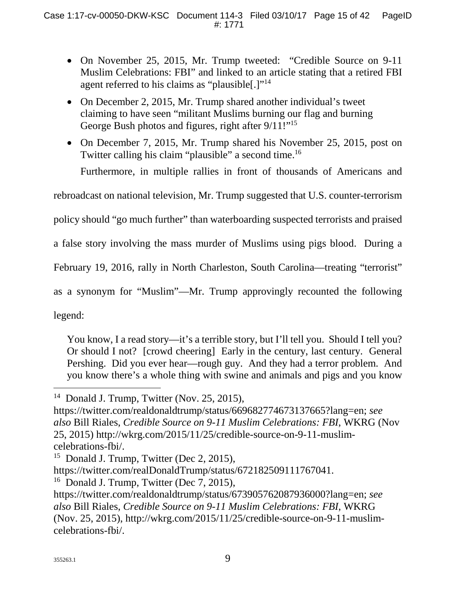- On November 25, 2015, Mr. Trump tweeted: "Credible Source on 9-11 Muslim Celebrations: FBI" and linked to an article stating that a retired FBI agent referred to his claims as "plausible<sup>[.]"<sup>[14](#page-14-0)</sup></sup>
- On December 2, 2015, Mr. Trump shared another individual's tweet claiming to have seen "militant Muslims burning our flag and burning George Bush photos and figures, right after  $9/11$ !"<sup>[15](#page-14-1)</sup>
- On December 7, 2015, Mr. Trump shared his November 25, 2015, post on Twitter calling his claim "plausible" a second time.[16](#page-14-2)

Furthermore, in multiple rallies in front of thousands of Americans and

rebroadcast on national television, Mr. Trump suggested that U.S. counter-terrorism

policy should "go much further" than waterboarding suspected terrorists and praised

a false story involving the mass murder of Muslims using pigs blood. During a

February 19, 2016, rally in North Charleston, South Carolina—treating "terrorist"

as a synonym for "Muslim"—Mr. Trump approvingly recounted the following

legend:

You know, I a read story—it's a terrible story, but I'll tell you. Should I tell you? Or should I not? [crowd cheering] Early in the century, last century. General Pershing. Did you ever hear—rough guy. And they had a terror problem. And you know there's a whole thing with swine and animals and pigs and you know

<span id="page-14-2"></span><sup>16</sup> Donald J. Trump, Twitter (Dec 7, 2015),

<span id="page-14-0"></span><sup>&</sup>lt;sup>14</sup> Donald J. Trump, Twitter (Nov. 25, 2015),

https://twitter.com/realdonaldtrump/status/669682774673137665?lang=en; *see also* Bill Riales, *Credible Source on 9-11 Muslim Celebrations: FBI*, WKRG (Nov 25, 2015) http://wkrg.com/2015/11/25/credible-source-on-9-11-muslimcelebrations-fbi/.

<span id="page-14-1"></span><sup>&</sup>lt;sup>15</sup> Donald J. Trump, Twitter (Dec 2, 2015),

https://twitter.com/realDonaldTrump/status/672182509111767041.

https://twitter.com/realdonaldtrump/status/673905762087936000?lang=en; *see also* Bill Riales, *Credible Source on 9-11 Muslim Celebrations: FBI*, WKRG (Nov. 25, 2015), http://wkrg.com/2015/11/25/credible-source-on-9-11-muslimcelebrations-fbi/.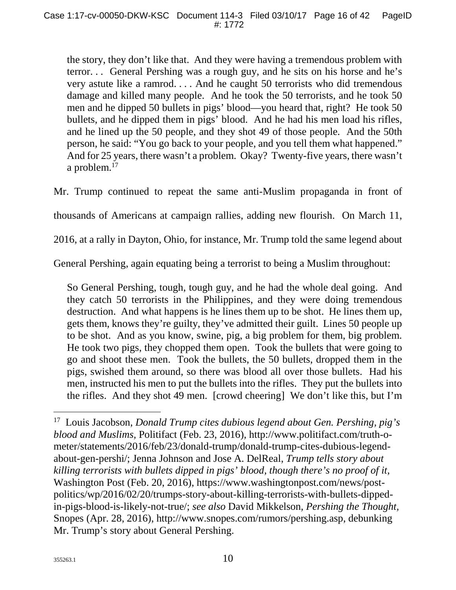the story, they don't like that. And they were having a tremendous problem with terror. . . General Pershing was a rough guy, and he sits on his horse and he's very astute like a ramrod. . . . And he caught 50 terrorists who did tremendous damage and killed many people. And he took the 50 terrorists, and he took 50 men and he dipped 50 bullets in pigs' blood—you heard that, right? He took 50 bullets, and he dipped them in pigs' blood. And he had his men load his rifles, and he lined up the 50 people, and they shot 49 of those people. And the 50th person, he said: "You go back to your people, and you tell them what happened." And for 25 years, there wasn't a problem. Okay? Twenty-five years, there wasn't a problem.[17](#page-15-0)

Mr. Trump continued to repeat the same anti-Muslim propaganda in front of

thousands of Americans at campaign rallies, adding new flourish. On March 11,

2016, at a rally in Dayton, Ohio, for instance, Mr. Trump told the same legend about

General Pershing, again equating being a terrorist to being a Muslim throughout:

So General Pershing, tough, tough guy, and he had the whole deal going. And they catch 50 terrorists in the Philippines, and they were doing tremendous destruction. And what happens is he lines them up to be shot. He lines them up, gets them, knows they're guilty, they've admitted their guilt. Lines 50 people up to be shot. And as you know, swine, pig, a big problem for them, big problem. He took two pigs, they chopped them open. Took the bullets that were going to go and shoot these men. Took the bullets, the 50 bullets, dropped them in the pigs, swished them around, so there was blood all over those bullets. Had his men, instructed his men to put the bullets into the rifles. They put the bullets into the rifles. And they shot 49 men. [crowd cheering] We don't like this, but I'm

<span id="page-15-0"></span><sup>17</sup> Louis Jacobson, *Donald Trump cites dubious legend about Gen. Pershing, pig's blood and Muslims,* Politifact (Feb. 23, 2016), http://www.politifact.com/truth-ometer/statements/2016/feb/23/donald-trump/donald-trump-cites-dubious-legendabout-gen-pershi/; Jenna Johnson and Jose A. DelReal, *Trump tells story about killing terrorists with bullets dipped in pigs' blood, though there's no proof of it,*  Washington Post (Feb. 20, 2016), https://www.washingtonpost.com/news/postpolitics/wp/2016/02/20/trumps-story-about-killing-terrorists-with-bullets-dippedin-pigs-blood-is-likely-not-true/; *see also* David Mikkelson*, Pershing the Thought,*  Snopes (Apr. 28, 2016), http://www.snopes.com/rumors/pershing.asp, debunking Mr. Trump's story about General Pershing.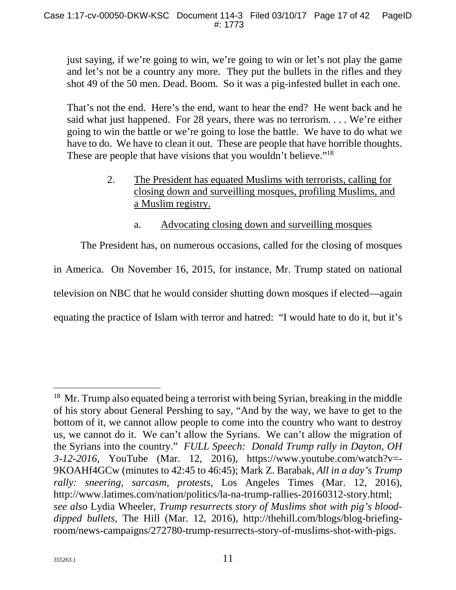just saying, if we're going to win, we're going to win or let's not play the game and let's not be a country any more. They put the bullets in the rifles and they shot 49 of the 50 men. Dead. Boom. So it was a pig-infested bullet in each one.

That's not the end. Here's the end, want to hear the end? He went back and he said what just happened. For 28 years, there was no terrorism. . . . We're either going to win the battle or we're going to lose the battle. We have to do what we have to do. We have to clean it out. These are people that have horrible thoughts. These are people that have visions that you wouldn't believe."<sup>[18](#page-16-2)</sup>

- <span id="page-16-0"></span>2. The President has equated Muslims with terrorists, calling for closing down and surveilling mosques, profiling Muslims, and a Muslim registry.
	- a. Advocating closing down and surveilling mosques

<span id="page-16-1"></span>The President has, on numerous occasions, called for the closing of mosques in America. On November 16, 2015, for instance, Mr. Trump stated on national television on NBC that he would consider shutting down mosques if elected—again equating the practice of Islam with terror and hatred: "I would hate to do it, but it's

<span id="page-16-2"></span> $18$  Mr. Trump also equated being a terrorist with being Syrian, breaking in the middle of his story about General Pershing to say, "And by the way, we have to get to the bottom of it, we cannot allow people to come into the country who want to destroy us, we cannot do it. We can't allow the Syrians. We can't allow the migration of the Syrians into the country." *FULL Speech: Donald Trump rally in Dayton, OH 3-12-2016*, YouTube (Mar. 12, 2016), https://www.youtube.com/watch?v=- 9KOAHf4GCw (minutes to 42:45 to 46:45); Mark Z. Barabak, *All in a day's Trump rally: sneering, sarcasm, protests,* Los Angeles Times (Mar. 12, 2016), http://www.latimes.com/nation/politics/la-na-trump-rallies-20160312-story.html; *see also* Lydia Wheeler, *Trump resurrects story of Muslims shot with pig's blooddipped bullets,* The Hill (Mar. 12, 2016), http://thehill.com/blogs/blog-briefingroom/news-campaigns/272780-trump-resurrects-story-of-muslims-shot-with-pigs.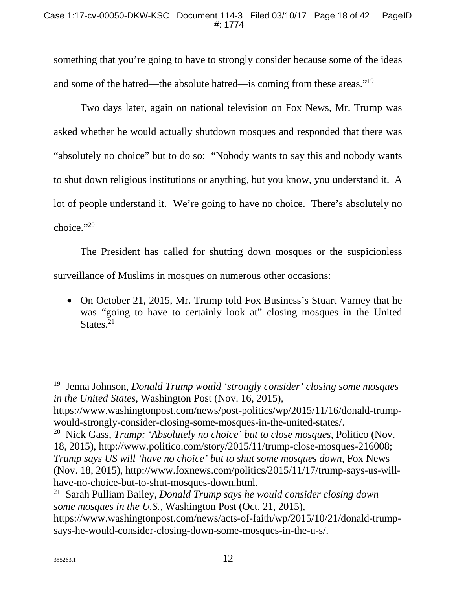something that you're going to have to strongly consider because some of the ideas and some of the hatred—the absolute hatred—is coming from these areas."[19](#page-17-0)

Two days later, again on national television on Fox News, Mr. Trump was asked whether he would actually shutdown mosques and responded that there was "absolutely no choice" but to do so: "Nobody wants to say this and nobody wants to shut down religious institutions or anything, but you know, you understand it. A lot of people understand it. We're going to have no choice. There's absolutely no choice."[20](#page-17-1)

The President has called for shutting down mosques or the suspicionless surveillance of Muslims in mosques on numerous other occasions:

• On October 21, 2015, Mr. Trump told Fox Business's Stuart Varney that he was "going to have to certainly look at" closing mosques in the United States.<sup>[21](#page-17-2)</sup>

<span id="page-17-0"></span><sup>19</sup> Jenna Johnson, *Donald Trump would 'strongly consider' closing some mosques in the United States,* Washington Post (Nov. 16, 2015),

<span id="page-17-2"></span><sup>21</sup> Sarah Pulliam Bailey, *Donald Trump says he would consider closing down some mosques in the U.S.,* Washington Post (Oct. 21, 2015), https://www.washingtonpost.com/news/acts-of-faith/wp/2015/10/21/donald-trumpsays-he-would-consider-closing-down-some-mosques-in-the-u-s/.

https://www.washingtonpost.com/news/post-politics/wp/2015/11/16/donald-trumpwould-strongly-consider-closing-some-mosques-in-the-united-states/.

<span id="page-17-1"></span><sup>&</sup>lt;sup>20</sup> Nick Gass, *Trump: 'Absolutely no choice' but to close mosques*, Politico (Nov. 18, 2015), http://www.politico.com/story/2015/11/trump-close-mosques-216008; *Trump says US will 'have no choice' but to shut some mosques down*, Fox News (Nov. 18, 2015), http://www.foxnews.com/politics/2015/11/17/trump-says-us-willhave-no-choice-but-to-shut-mosques-down.html.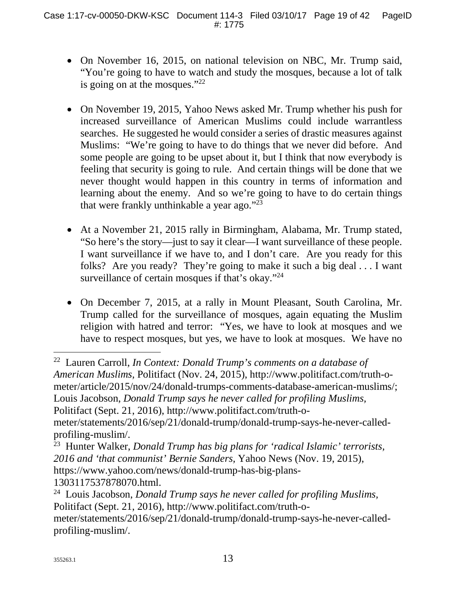- On November 16, 2015, on national television on NBC, Mr. Trump said, "You're going to have to watch and study the mosques, because a lot of talk is going on at the mosques." $22$
- On November 19, 2015, Yahoo News asked Mr. Trump whether his push for increased surveillance of American Muslims could include warrantless searches. He suggested he would consider a series of drastic measures against Muslims: "We're going to have to do things that we never did before. And some people are going to be upset about it, but I think that now everybody is feeling that security is going to rule. And certain things will be done that we never thought would happen in this country in terms of information and learning about the enemy. And so we're going to have to do certain things that were frankly unthinkable a year ago." $^{23}$  $^{23}$  $^{23}$
- At a November 21, 2015 rally in Birmingham, Alabama, Mr. Trump stated, "So here's the story—just to say it clear—I want surveillance of these people. I want surveillance if we have to, and I don't care. Are you ready for this folks? Are you ready? They're going to make it such a big deal . . . I want surveillance of certain mosques if that's okay."<sup>[24](#page-18-2)</sup>
- On December 7, 2015, at a rally in Mount Pleasant, South Carolina, Mr. Trump called for the surveillance of mosques, again equating the Muslim religion with hatred and terror: "Yes, we have to look at mosques and we have to respect mosques, but yes, we have to look at mosques. We have no

<span id="page-18-0"></span><sup>22</sup> Lauren Carroll, *In Context: Donald Trump's comments on a database of American Muslims,* Politifact (Nov. 24, 2015), http://www.politifact.com/truth-ometer/article/2015/nov/24/donald-trumps-comments-database-american-muslims/; Louis Jacobson, *Donald Trump says he never called for profiling Muslims,*  Politifact (Sept. 21, 2016), http://www.politifact.com/truth-ometer/statements/2016/sep/21/donald-trump/donald-trump-says-he-never-calledprofiling-muslim/.

<span id="page-18-1"></span><sup>23</sup> Hunter Walker, *Donald Trump has big plans for 'radical Islamic' terrorists, 2016 and 'that communist' Bernie Sanders,* Yahoo News (Nov. 19, 2015), https://www.yahoo.com/news/donald-trump-has-big-plans-1303117537878070.html.

<span id="page-18-2"></span><sup>24</sup> Louis Jacobson, *Donald Trump says he never called for profiling Muslims,*  Politifact (Sept. 21, 2016), http://www.politifact.com/truth-o-

meter/statements/2016/sep/21/donald-trump/donald-trump-says-he-never-calledprofiling-muslim/.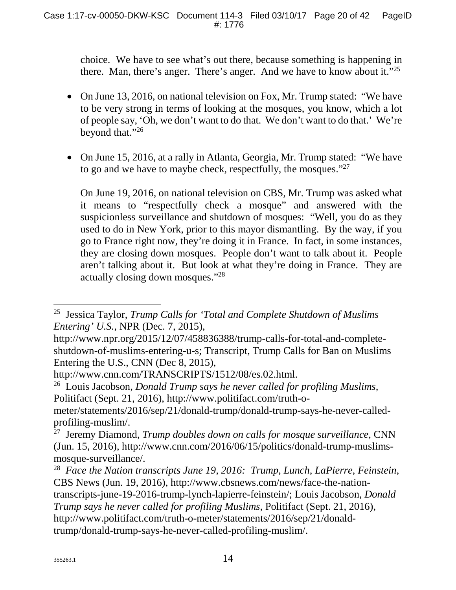choice. We have to see what's out there, because something is happening in there. Man, there's anger. There's anger. And we have to know about it."<sup>[25](#page-19-0)</sup>

- On June 13, 2016, on national television on Fox, Mr. Trump stated: "We have to be very strong in terms of looking at the mosques, you know, which a lot of people say, 'Oh, we don't want to do that. We don't want to do that.' We're beyond that."[26](#page-19-1)
- On June 15, 2016, at a rally in Atlanta, Georgia, Mr. Trump stated: "We have to go and we have to maybe check, respectfully, the mosques."<sup>[27](#page-19-2)</sup>

On June 19, 2016, on national television on CBS, Mr. Trump was asked what it means to "respectfully check a mosque" and answered with the suspicionless surveillance and shutdown of mosques: "Well, you do as they used to do in New York, prior to this mayor dismantling. By the way, if you go to France right now, they're doing it in France. In fact, in some instances, they are closing down mosques. People don't want to talk about it. People aren't talking about it. But look at what they're doing in France. They are actually closing down mosques."[28](#page-19-3)

<span id="page-19-0"></span><sup>25</sup> Jessica Taylor, *Trump Calls for 'Total and Complete Shutdown of Muslims Entering' U.S.,* NPR (Dec. 7, 2015),

http://www.npr.org/2015/12/07/458836388/trump-calls-for-total-and-completeshutdown-of-muslims-entering-u-s; Transcript, Trump Calls for Ban on Muslims Entering the U.S., CNN (Dec 8, 2015),

http://www.cnn.com/TRANSCRIPTS/1512/08/es.02.html.

<span id="page-19-1"></span><sup>26</sup> Louis Jacobson, *Donald Trump says he never called for profiling Muslims,*  Politifact (Sept. 21, 2016), http://www.politifact.com/truth-o-

meter/statements/2016/sep/21/donald-trump/donald-trump-says-he-never-calledprofiling-muslim/.

<span id="page-19-2"></span><sup>27</sup> Jeremy Diamond, *Trump doubles down on calls for mosque surveillance,* CNN (Jun. 15, 2016), http://www.cnn.com/2016/06/15/politics/donald-trump-muslimsmosque-surveillance/.

<span id="page-19-3"></span><sup>28</sup> *Face the Nation transcripts June 19, 2016: Trump, Lunch, LaPierre, Feinstein*, CBS News (Jun. 19, 2016), http://www.cbsnews.com/news/face-the-nationtranscripts-june-19-2016-trump-lynch-lapierre-feinstein/; Louis Jacobson, *Donald Trump says he never called for profiling Muslims,* Politifact (Sept. 21, 2016), http://www.politifact.com/truth-o-meter/statements/2016/sep/21/donaldtrump/donald-trump-says-he-never-called-profiling-muslim/.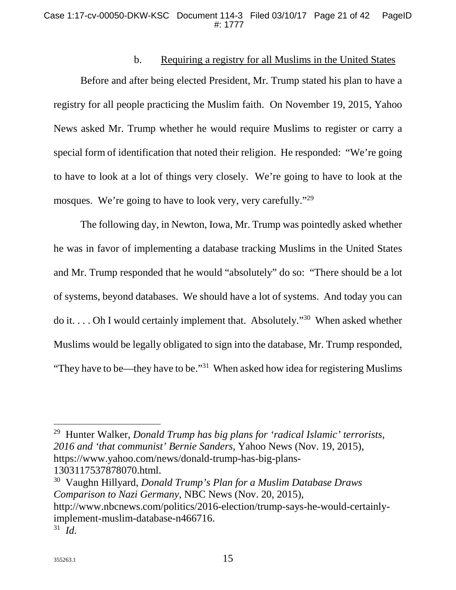#### b. Requiring a registry for all Muslims in the United States

<span id="page-20-0"></span>Before and after being elected President, Mr. Trump stated his plan to have a registry for all people practicing the Muslim faith. On November 19, 2015, Yahoo News asked Mr. Trump whether he would require Muslims to register or carry a special form of identification that noted their religion. He responded: "We're going to have to look at a lot of things very closely. We're going to have to look at the mosques. We're going to have to look very, very carefully."<sup>[29](#page-20-1)</sup>

The following day, in Newton, Iowa, Mr. Trump was pointedly asked whether he was in favor of implementing a database tracking Muslims in the United States and Mr. Trump responded that he would "absolutely" do so: "There should be a lot of systems, beyond databases. We should have a lot of systems. And today you can do it. . . . Oh I would certainly implement that. Absolutely."[30](#page-20-2) When asked whether Muslims would be legally obligated to sign into the database, Mr. Trump responded, "They have to be—they have to be."[31](#page-20-3) When asked how idea for registering Muslims

<span id="page-20-1"></span><sup>29</sup> Hunter Walker, *Donald Trump has big plans for 'radical Islamic' terrorists, 2016 and 'that communist' Bernie Sanders,* Yahoo News (Nov. 19, 2015), https://www.yahoo.com/news/donald-trump-has-big-plans-1303117537878070.html.

<span id="page-20-3"></span><span id="page-20-2"></span><sup>30</sup> Vaughn Hillyard, *Donald Trump's Plan for a Muslim Database Draws Comparison to Nazi Germany,* NBC News (Nov. 20, 2015), http://www.nbcnews.com/politics/2016-election/trump-says-he-would-certainlyimplement-muslim-database-n466716. <sup>31</sup> *Id.*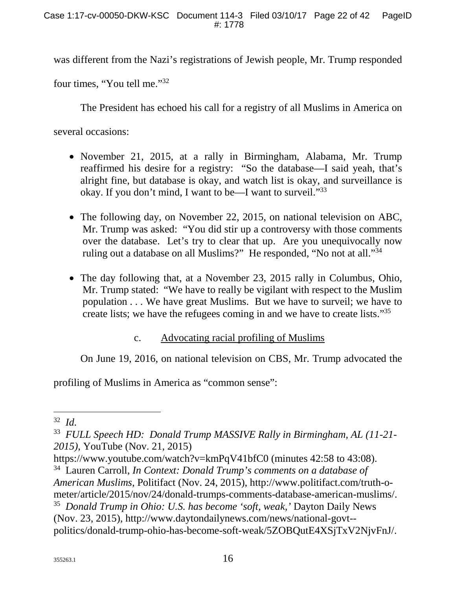was different from the Nazi's registrations of Jewish people, Mr. Trump responded

four times, "You tell me."[32](#page-21-1)

The President has echoed his call for a registry of all Muslims in America on

several occasions:

- November 21, 2015, at a rally in Birmingham, Alabama, Mr. Trump reaffirmed his desire for a registry: "So the database—I said yeah, that's alright fine, but database is okay, and watch list is okay, and surveillance is okay. If you don't mind, I want to be—I want to surveil."[33](#page-21-2)
- The following day, on November 22, 2015, on national television on ABC, Mr. Trump was asked: "You did stir up a controversy with those comments over the database. Let's try to clear that up. Are you unequivocally now ruling out a database on all Muslims?" He responded, "No not at all."[34](#page-21-3)
- The day following that, at a November 23, 2015 rally in Columbus, Ohio, Mr. Trump stated: "We have to really be vigilant with respect to the Muslim population . . . We have great Muslims. But we have to surveil; we have to create lists; we have the refugees coming in and we have to create lists."[35](#page-21-4)

c. Advocating racial profiling of Muslims

<span id="page-21-0"></span>On June 19, 2016, on national television on CBS, Mr. Trump advocated the

profiling of Muslims in America as "common sense":

<span id="page-21-1"></span> $32$  *Id.* 

<span id="page-21-2"></span><sup>33</sup> *FULL Speech HD: Donald Trump MASSIVE Rally in Birmingham, AL (11-21- 2015)*, YouTube (Nov. 21, 2015)

https://www.youtube.com/watch?v=kmPqV41bfC0 (minutes 42:58 to 43:08).

<span id="page-21-4"></span><span id="page-21-3"></span><sup>34</sup> Lauren Carroll, *In Context: Donald Trump's comments on a database of American Muslims,* Politifact (Nov. 24, 2015), http://www.politifact.com/truth-ometer/article/2015/nov/24/donald-trumps-comments-database-american-muslims/. <sup>35</sup> *Donald Trump in Ohio: U.S. has become 'soft, weak,'* Dayton Daily News (Nov. 23, 2015), http://www.daytondailynews.com/news/national-govt- politics/donald-trump-ohio-has-become-soft-weak/5ZOBQutE4XSjTxV2NjvFnJ/.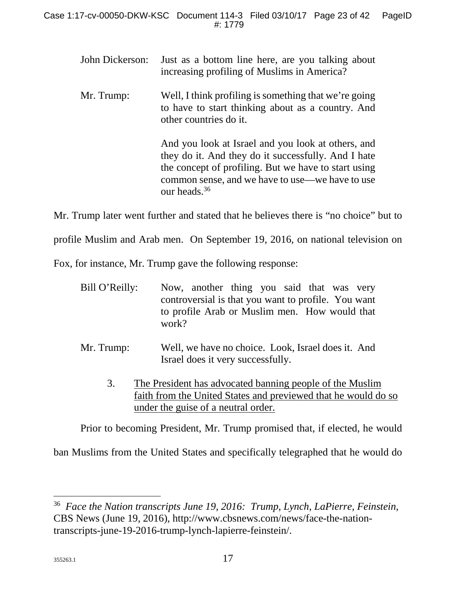| John Dickerson: | Just as a bottom line here, are you talking about<br>increasing profiling of Muslims in America?                                     |
|-----------------|--------------------------------------------------------------------------------------------------------------------------------------|
| Mr. Trump:      | Well, I think profiling is something that we're going<br>to have to start thinking about as a country. And<br>other countries do it. |

And you look at Israel and you look at others, and they do it. And they do it successfully. And I hate the concept of profiling. But we have to start using common sense, and we have to use—we have to use our heads  $36$ 

Mr. Trump later went further and stated that he believes there is "no choice" but to

profile Muslim and Arab men. On September 19, 2016, on national television on

Fox, for instance, Mr. Trump gave the following response:

| Bill O'Reilly: | Now, another thing you said that was very<br>controversial is that you want to profile. You want<br>to profile Arab or Muslim men. How would that<br>work? |
|----------------|------------------------------------------------------------------------------------------------------------------------------------------------------------|
| Mr. Trump:     | Well, we have no choice. Look, Israel does it. And<br>Israel does it very successfully.                                                                    |

<span id="page-22-0"></span>3. The President has advocated banning people of the Muslim faith from the United States and previewed that he would do so under the guise of a neutral order.

Prior to becoming President, Mr. Trump promised that, if elected, he would

ban Muslims from the United States and specifically telegraphed that he would do

<span id="page-22-1"></span><sup>36</sup> *Face the Nation transcripts June 19, 2016: Trump, Lynch, LaPierre, Feinstein*, CBS News (June 19, 2016), http://www.cbsnews.com/news/face-the-nationtranscripts-june-19-2016-trump-lynch-lapierre-feinstein/.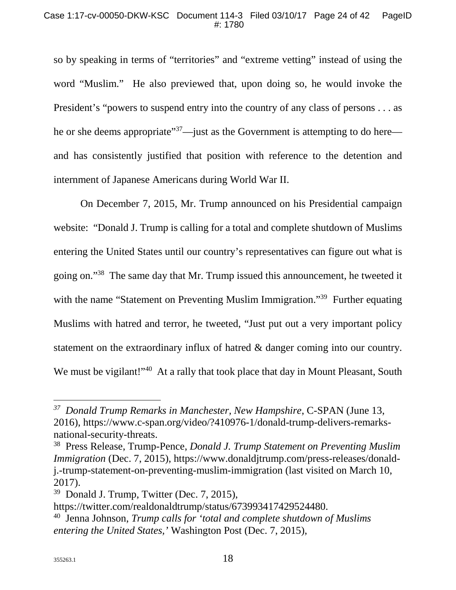so by speaking in terms of "territories" and "extreme vetting" instead of using the word "Muslim." He also previewed that, upon doing so, he would invoke the President's "powers to suspend entry into the country of any class of persons . . . as he or she deems appropriate"<sup>[37](#page-23-0)</sup>—just as the Government is attempting to do here and has consistently justified that position with reference to the detention and internment of Japanese Americans during World War II.

On December 7, 2015, Mr. Trump announced on his Presidential campaign website: "Donald J. Trump is calling for a total and complete shutdown of Muslims entering the United States until our country's representatives can figure out what is going on."[38](#page-23-1) The same day that Mr. Trump issued this announcement, he tweeted it with the name "Statement on Preventing Muslim Immigration."<sup>[39](#page-23-2)</sup> Further equating Muslims with hatred and terror, he tweeted, "Just put out a very important policy statement on the extraordinary influx of hatred & danger coming into our country. We must be vigilant!"<sup>[40](#page-23-3)</sup> At a rally that took place that day in Mount Pleasant, South

<span id="page-23-0"></span>*<sup>37</sup> Donald Trump Remarks in Manchester, New Hampshire*, C-SPAN (June 13, 2016), https://www.c-span.org/video/?410976-1/donald-trump-delivers-remarksnational-security-threats.

<span id="page-23-1"></span><sup>38</sup> Press Release, Trump-Pence, *Donald J. Trump Statement on Preventing Muslim Immigration* (Dec. 7, 2015), https://www.donaldjtrump.com/press-releases/donaldj.-trump-statement-on-preventing-muslim-immigration (last visited on March 10, 2017).

<span id="page-23-2"></span> $39$  Donald J. Trump, Twitter (Dec. 7, 2015),

https://twitter.com/realdonaldtrump/status/673993417429524480.

<span id="page-23-3"></span><sup>40</sup> Jenna Johnson, *Trump calls for 'total and complete shutdown of Muslims entering the United States,'* Washington Post (Dec. 7, 2015),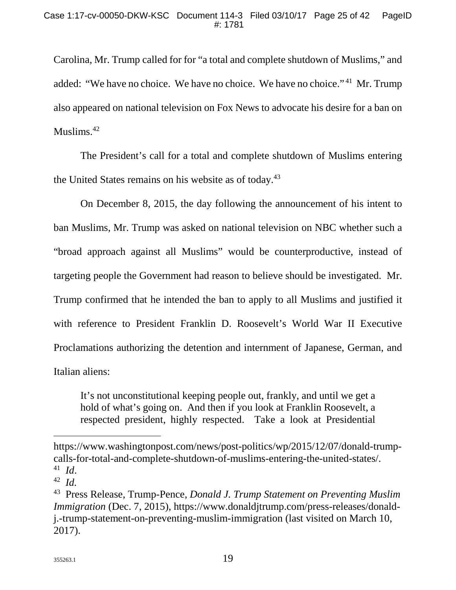Carolina, Mr. Trump called for for "a total and complete shutdown of Muslims," and added: "We have no choice. We have no choice. We have no choice." [41](#page-24-0) Mr. Trump also appeared on national television on Fox News to advocate his desire for a ban on Muslims.<sup>[42](#page-24-1)</sup>

The President's call for a total and complete shutdown of Muslims entering the United States remains on his website as of today.<sup>[43](#page-24-2)</sup>

On December 8, 2015, the day following the announcement of his intent to ban Muslims, Mr. Trump was asked on national television on NBC whether such a "broad approach against all Muslims" would be counterproductive, instead of targeting people the Government had reason to believe should be investigated. Mr. Trump confirmed that he intended the ban to apply to all Muslims and justified it with reference to President Franklin D. Roosevelt's World War II Executive Proclamations authorizing the detention and internment of Japanese, German, and Italian aliens:

It's not unconstitutional keeping people out, frankly, and until we get a hold of what's going on. And then if you look at Franklin Roosevelt, a respected president, highly respected. Take a look at Presidential

https://www.washingtonpost.com/news/post-politics/wp/2015/12/07/donald-trumpcalls-for-total-and-complete-shutdown-of-muslims-entering-the-united-states/. <sup>41</sup> *Id*.

<span id="page-24-1"></span><span id="page-24-0"></span><sup>42</sup> *Id.*

<span id="page-24-2"></span><sup>43</sup> Press Release, Trump-Pence, *Donald J. Trump Statement on Preventing Muslim Immigration* (Dec. 7, 2015), https://www.donaldjtrump.com/press-releases/donaldj.-trump-statement-on-preventing-muslim-immigration (last visited on March 10, 2017).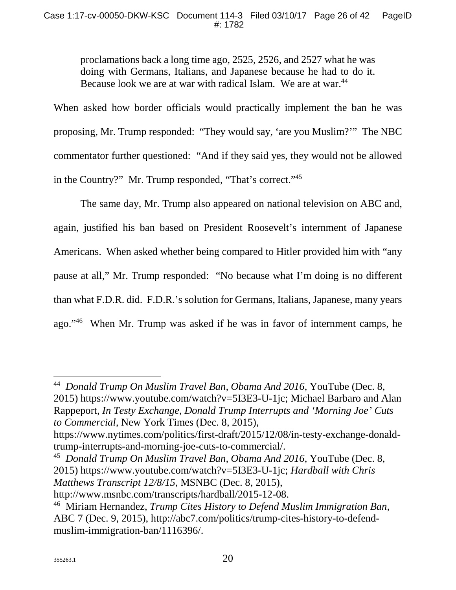proclamations back a long time ago, 2525, 2526, and 2527 what he was doing with Germans, Italians, and Japanese because he had to do it. Because look we are at war with radical Islam. We are at war.<sup>[44](#page-25-0)</sup>

When asked how border officials would practically implement the ban he was proposing, Mr. Trump responded: "They would say, 'are you Muslim?'" The NBC commentator further questioned: "And if they said yes, they would not be allowed in the Country?" Mr. Trump responded, "That's correct."[45](#page-25-1)

The same day, Mr. Trump also appeared on national television on ABC and, again, justified his ban based on President Roosevelt's internment of Japanese Americans. When asked whether being compared to Hitler provided him with "any pause at all," Mr. Trump responded: "No because what I'm doing is no different than what F.D.R. did. F.D.R.'s solution for Germans, Italians, Japanese, many years ago."[46](#page-25-2) When Mr. Trump was asked if he was in favor of internment camps, he

<span id="page-25-0"></span><sup>44</sup> *Donald Trump On Muslim Travel Ban, Obama And 2016*, YouTube (Dec. 8, 2015) https://www.youtube.com/watch?v=5I3E3-U-1jc; Michael Barbaro and Alan Rappeport, *In Testy Exchange, Donald Trump Interrupts and 'Morning Joe' Cuts to Commercial,* New York Times (Dec. 8, 2015),

https://www.nytimes.com/politics/first-draft/2015/12/08/in-testy-exchange-donaldtrump-interrupts-and-morning-joe-cuts-to-commercial/.

<span id="page-25-1"></span><sup>45</sup> *Donald Trump On Muslim Travel Ban, Obama And 2016*, YouTube (Dec. 8, 2015) https://www.youtube.com/watch?v=5I3E3-U-1jc; *Hardball with Chris Matthews Transcript 12/8/15*, MSNBC (Dec. 8, 2015), http://www.msnbc.com/transcripts/hardball/2015-12-08.

<span id="page-25-2"></span><sup>46</sup> Miriam Hernandez, *Trump Cites History to Defend Muslim Immigration Ban,*  ABC 7 (Dec. 9, 2015), http://abc7.com/politics/trump-cites-history-to-defendmuslim-immigration-ban/1116396/.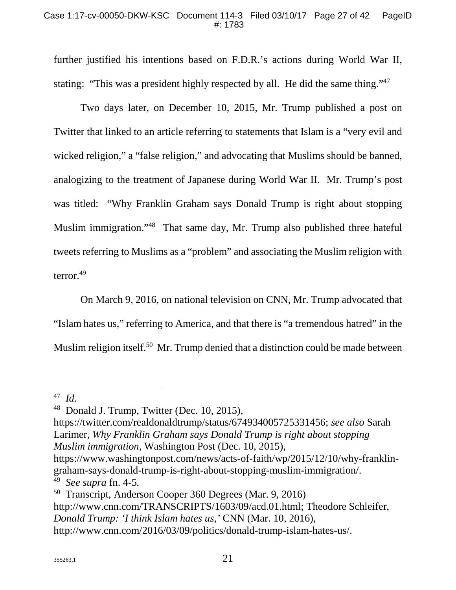further justified his intentions based on F.D.R.'s actions during World War II, stating: "This was a president highly respected by all. He did the same thing."<sup>[47](#page-26-0)</sup>

Two days later, on December 10, 2015, Mr. Trump published a post on Twitter that linked to an article referring to statements that Islam is a "very evil and wicked religion," a "false religion," and advocating that Muslims should be banned, analogizing to the treatment of Japanese during World War II. Mr. Trump's post was titled: "Why Franklin Graham says Donald Trump is right about stopping Muslim immigration."<sup>[48](#page-26-1)</sup> That same day, Mr. Trump also published three hateful tweets referring to Muslims as a "problem" and associating the Muslim religion with terror.[49](#page-26-2)

On March 9, 2016, on national television on CNN, Mr. Trump advocated that "Islam hates us," referring to America, and that there is "a tremendous hatred" in the Muslim religion itself.<sup>[50](#page-26-3)</sup> Mr. Trump denied that a distinction could be made between

https://twitter.com/realdonaldtrump/status/674934005725331456; *see also* Sarah Larimer, *Why Franklin Graham says Donald Trump is right about stopping Muslim immigration,* Washington Post (Dec. 10, 2015),

https://www.washingtonpost.com/news/acts-of-faith/wp/2015/12/10/why-franklingraham-says-donald-trump-is-right-about-stopping-muslim-immigration/. <sup>49</sup> *See supra* fn. 4-5*.*

<span id="page-26-0"></span><sup>47</sup> *Id*.

<span id="page-26-1"></span> $48$  Donald J. Trump, Twitter (Dec. 10, 2015),

<span id="page-26-3"></span><span id="page-26-2"></span><sup>50</sup> Transcript, Anderson Cooper 360 Degrees (Mar. 9, 2016) http://www.cnn.com/TRANSCRIPTS/1603/09/acd.01.html; Theodore Schleifer, *Donald Trump: 'I think Islam hates us,'* CNN (Mar. 10, 2016), http://www.cnn.com/2016/03/09/politics/donald-trump-islam-hates-us/.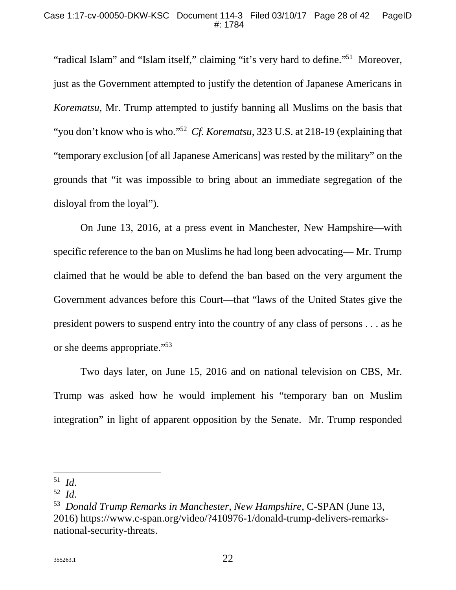"radical Islam" and "Islam itself," claiming "it's very hard to define."<sup>[51](#page-27-0)</sup> Moreover, just as the Government attempted to justify the detention of Japanese Americans in *Korematsu*, Mr. Trump attempted to justify banning all Muslims on the basis that "you don't know who is who."[52](#page-27-1) *Cf. Korematsu*, 323 U.S. at 218-19 (explaining that "temporary exclusion [of all Japanese Americans] was rested by the military" on the grounds that "it was impossible to bring about an immediate segregation of the disloyal from the loyal").

On June 13, 2016, at a press event in Manchester, New Hampshire—with specific reference to the ban on Muslims he had long been advocating— Mr. Trump claimed that he would be able to defend the ban based on the very argument the Government advances before this Court—that "laws of the United States give the president powers to suspend entry into the country of any class of persons . . . as he or she deems appropriate."[53](#page-27-2)

Two days later, on June 15, 2016 and on national television on CBS, Mr. Trump was asked how he would implement his "temporary ban on Muslim integration" in light of apparent opposition by the Senate. Mr. Trump responded

<span id="page-27-0"></span><sup>51</sup> *Id.* 

<span id="page-27-1"></span> $52$  *Id.* 

<span id="page-27-2"></span><sup>53</sup> *Donald Trump Remarks in Manchester, New Hampshire*, C-SPAN (June 13, 2016) https://www.c-span.org/video/?410976-1/donald-trump-delivers-remarksnational-security-threats.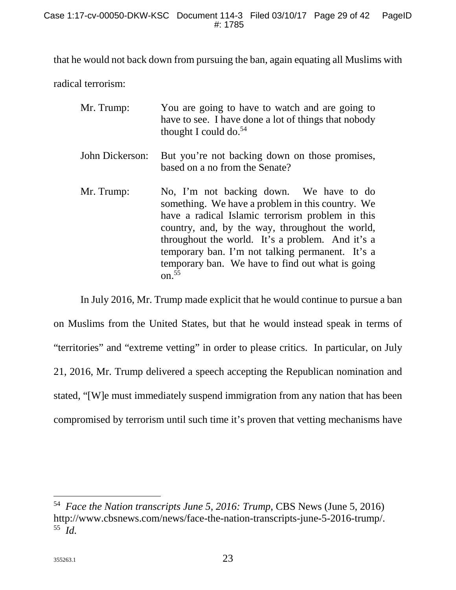that he would not back down from pursuing the ban, again equating all Muslims with

radical terrorism:

| Mr. Trump:      | You are going to have to watch and are going to<br>have to see. I have done a lot of things that nobody<br>thought I could do. $54$                                                                                                                                                                                                                                                 |
|-----------------|-------------------------------------------------------------------------------------------------------------------------------------------------------------------------------------------------------------------------------------------------------------------------------------------------------------------------------------------------------------------------------------|
| John Dickerson: | But you're not backing down on those promises,<br>based on a no from the Senate?                                                                                                                                                                                                                                                                                                    |
| Mr. Trump:      | No, I'm not backing down. We have to do<br>something. We have a problem in this country. We<br>have a radical Islamic terrorism problem in this<br>country, and, by the way, throughout the world,<br>throughout the world. It's a problem. And it's a<br>temporary ban. I'm not talking permanent. It's a<br>temporary ban. We have to find out what is going<br>on. <sup>55</sup> |

In July 2016, Mr. Trump made explicit that he would continue to pursue a ban on Muslims from the United States, but that he would instead speak in terms of "territories" and "extreme vetting" in order to please critics. In particular, on July 21, 2016, Mr. Trump delivered a speech accepting the Republican nomination and stated, "[W]e must immediately suspend immigration from any nation that has been compromised by terrorism until such time it's proven that vetting mechanisms have

<span id="page-28-1"></span><span id="page-28-0"></span><sup>54</sup> *Face the Nation transcripts June 5, 2016: Trump*, CBS News (June 5, 2016) http://www.cbsnews.com/news/face-the-nation-transcripts-june-5-2016-trump/. <sup>55</sup> *Id.*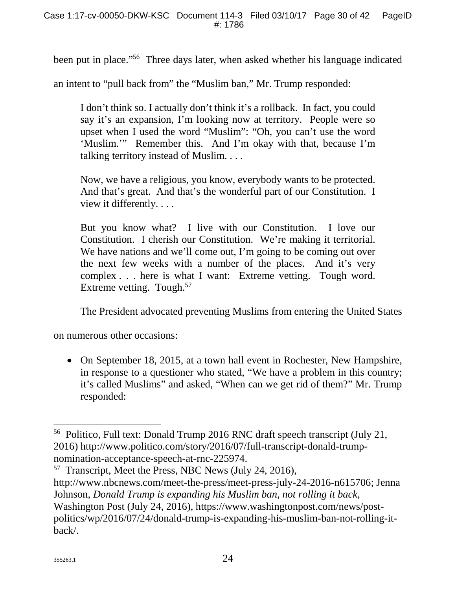been put in place."<sup>[56](#page-29-0)</sup> Three days later, when asked whether his language indicated

an intent to "pull back from" the "Muslim ban," Mr. Trump responded:

I don't think so. I actually don't think it's a rollback. In fact, you could say it's an expansion, I'm looking now at territory. People were so upset when I used the word "Muslim": "Oh, you can't use the word 'Muslim.'" Remember this. And I'm okay with that, because I'm talking territory instead of Muslim. . . .

Now, we have a religious, you know, everybody wants to be protected. And that's great. And that's the wonderful part of our Constitution. I view it differently. . . .

But you know what? I live with our Constitution. I love our Constitution. I cherish our Constitution. We're making it territorial. We have nations and we'll come out, I'm going to be coming out over the next few weeks with a number of the places. And it's very complex . . . here is what I want: Extreme vetting. Tough word. Extreme vetting. Tough.<sup>[57](#page-29-1)</sup>

The President advocated preventing Muslims from entering the United States

on numerous other occasions:

• On September 18, 2015, at a town hall event in Rochester, New Hampshire, in response to a questioner who stated, "We have a problem in this country; it's called Muslims" and asked, "When can we get rid of them?" Mr. Trump responded:

<span id="page-29-1"></span><sup>57</sup> Transcript, Meet the Press, NBC News (July 24, 2016), http://www.nbcnews.com/meet-the-press/meet-press-july-24-2016-n615706; Jenna Johnson, *Donald Trump is expanding his Muslim ban, not rolling it back*, Washington Post (July 24, 2016), https://www.washingtonpost.com/news/postpolitics/wp/2016/07/24/donald-trump-is-expanding-his-muslim-ban-not-rolling-itback/.

<span id="page-29-0"></span><sup>56</sup> Politico, Full text: Donald Trump 2016 RNC draft speech transcript (July 21, 2016) http://www.politico.com/story/2016/07/full-transcript-donald-trumpnomination-acceptance-speech-at-rnc-225974.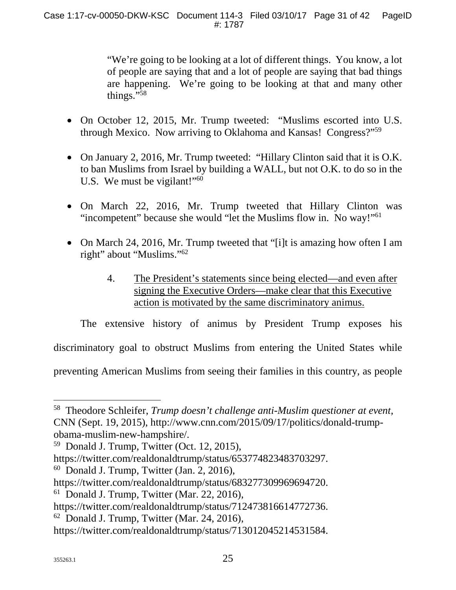"We're going to be looking at a lot of different things. You know, a lot of people are saying that and a lot of people are saying that bad things are happening. We're going to be looking at that and many other things."[58](#page-30-1)

- On October 12, 2015, Mr. Trump tweeted: "Muslims escorted into U.S. through Mexico. Now arriving to Oklahoma and Kansas! Congress?"[59](#page-30-2)
- On January 2, 2016, Mr. Trump tweeted: "Hillary Clinton said that it is O.K. to ban Muslims from Israel by building a WALL, but not O.K. to do so in the U.S. We must be vigilant!"<sup>[60](#page-30-3)</sup>
- On March 22, 2016, Mr. Trump tweeted that Hillary Clinton was "incompetent" because she would "let the Muslims flow in. No way!"[61](#page-30-4)
- <span id="page-30-0"></span>• On March 24, 2016, Mr. Trump tweeted that "[i]t is amazing how often I am right" about "Muslims."[62](#page-30-5)
	- 4. The President's statements since being elected—and even after signing the Executive Orders—make clear that this Executive action is motivated by the same discriminatory animus.

The extensive history of animus by President Trump exposes his discriminatory goal to obstruct Muslims from entering the United States while preventing American Muslims from seeing their families in this country, as people

<span id="page-30-3"></span> $60$  Donald J. Trump, Twitter (Jan. 2, 2016),

<span id="page-30-1"></span><sup>58</sup> Theodore Schleifer, *Trump doesn't challenge anti-Muslim questioner at event,*  CNN (Sept. 19, 2015), http://www.cnn.com/2015/09/17/politics/donald-trumpobama-muslim-new-hampshire/.

<span id="page-30-2"></span> $59$  Donald J. Trump, Twitter (Oct. 12, 2015),

https://twitter.com/realdonaldtrump/status/653774823483703297.

https://twitter.com/realdonaldtrump/status/683277309969694720.

<span id="page-30-4"></span><sup>61</sup> Donald J. Trump, Twitter (Mar. 22, 2016),

https://twitter.com/realdonaldtrump/status/712473816614772736.

<span id="page-30-5"></span> $62$  Donald J. Trump, Twitter (Mar. 24, 2016),

https://twitter.com/realdonaldtrump/status/713012045214531584.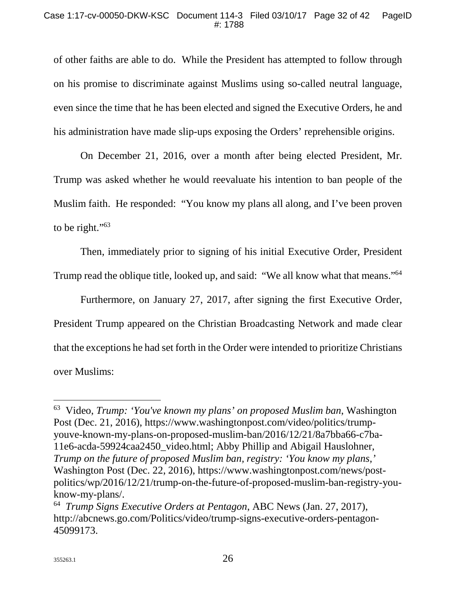of other faiths are able to do. While the President has attempted to follow through on his promise to discriminate against Muslims using so-called neutral language, even since the time that he has been elected and signed the Executive Orders, he and his administration have made slip-ups exposing the Orders' reprehensible origins.

On December 21, 2016, over a month after being elected President, Mr. Trump was asked whether he would reevaluate his intention to ban people of the Muslim faith. He responded: "You know my plans all along, and I've been proven to be right."[63](#page-31-0)

Then, immediately prior to signing of his initial Executive Order, President Trump read the oblique title, looked up, and said: "We all know what that means."[64](#page-31-1)

Furthermore, on January 27, 2017, after signing the first Executive Order, President Trump appeared on the Christian Broadcasting Network and made clear that the exceptions he had set forth in the Order were intended to prioritize Christians over Muslims:

<span id="page-31-0"></span><sup>63</sup> Video, *Trump: 'You've known my plans' on proposed Muslim ban*, Washington Post (Dec. 21, 2016), https://www.washingtonpost.com/video/politics/trumpyouve-known-my-plans-on-proposed-muslim-ban/2016/12/21/8a7bba66-c7ba-11e6-acda-59924caa2450\_video.html; Abby Phillip and Abigail Hauslohner, *Trump on the future of proposed Muslim ban, registry: 'You know my plans,'*  Washington Post (Dec. 22, 2016), https://www.washingtonpost.com/news/postpolitics/wp/2016/12/21/trump-on-the-future-of-proposed-muslim-ban-registry-youknow-my-plans/.

<span id="page-31-1"></span><sup>64</sup> *Trump Signs Executive Orders at Pentagon*, ABC News (Jan. 27, 2017), http://abcnews.go.com/Politics/video/trump-signs-executive-orders-pentagon-45099173.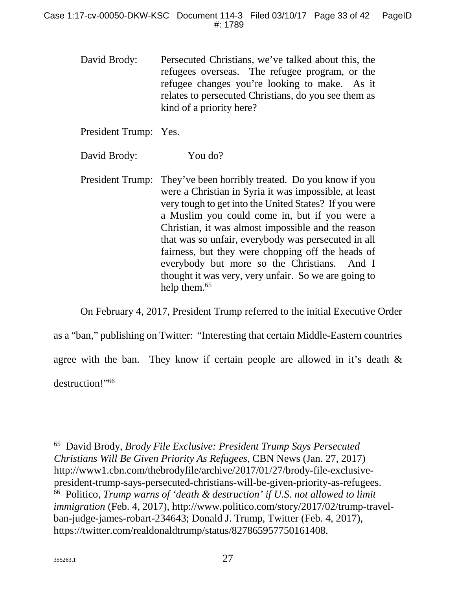David Brody: Persecuted Christians, we've talked about this, the refugees overseas. The refugee program, or the refugee changes you're looking to make. As it relates to persecuted Christians, do you see them as kind of a priority here?

President Trump: Yes.

David Brody: You do?

President Trump: They've been horribly treated. Do you know if you were a Christian in Syria it was impossible, at least very tough to get into the United States? If you were a Muslim you could come in, but if you were a Christian, it was almost impossible and the reason that was so unfair, everybody was persecuted in all fairness, but they were chopping off the heads of everybody but more so the Christians. And I thought it was very, very unfair. So we are going to help them.<sup>[65](#page-32-0)</sup>

On February 4, 2017, President Trump referred to the initial Executive Order

as a "ban," publishing on Twitter: "Interesting that certain Middle-Eastern countries agree with the ban. They know if certain people are allowed in it's death  $\&$ destruction!"<sup>[66](#page-32-1)</sup>

<span id="page-32-1"></span><span id="page-32-0"></span><sup>65</sup> David Brody, *Brody File Exclusive: President Trump Says Persecuted Christians Will Be Given Priority As Refugees*, CBN News (Jan. 27, 2017) http://www1.cbn.com/thebrodyfile/archive/2017/01/27/brody-file-exclusivepresident-trump-says-persecuted-christians-will-be-given-priority-as-refugees. <sup>66</sup> Politico, *Trump warns of 'death & destruction' if U.S. not allowed to limit immigration* (Feb. 4, 2017), http://www.politico.com/story/2017/02/trump-travelban-judge-james-robart-234643; Donald J. Trump, Twitter (Feb. 4, 2017), https://twitter.com/realdonaldtrump/status/827865957750161408.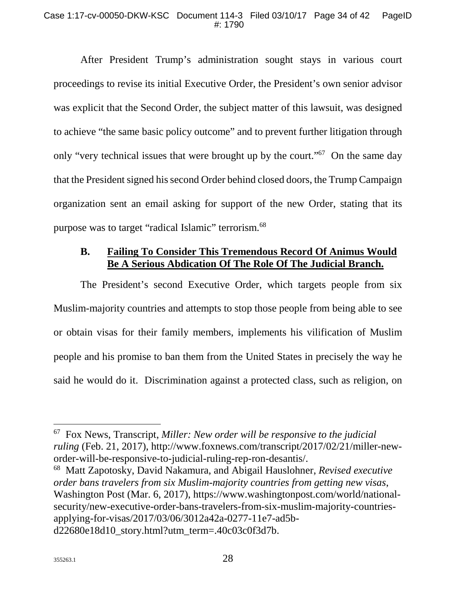After President Trump's administration sought stays in various court proceedings to revise its initial Executive Order, the President's own senior advisor was explicit that the Second Order, the subject matter of this lawsuit, was designed to achieve "the same basic policy outcome" and to prevent further litigation through only "very technical issues that were brought up by the court."[67](#page-33-1) On the same day that the President signed his second Order behind closed doors, the Trump Campaign organization sent an email asking for support of the new Order, stating that its purpose was to target "radical Islamic" terrorism.[68](#page-33-2)

## <span id="page-33-0"></span>**B. Failing To Consider This Tremendous Record Of Animus Would Be A Serious Abdication Of The Role Of The Judicial Branch.**

The President's second Executive Order, which targets people from six Muslim-majority countries and attempts to stop those people from being able to see or obtain visas for their family members, implements his vilification of Muslim people and his promise to ban them from the United States in precisely the way he said he would do it. Discrimination against a protected class, such as religion, on

<span id="page-33-1"></span><sup>67</sup> Fox News, Transcript, *Miller: New order will be responsive to the judicial ruling* (Feb. 21, 2017), http://www.foxnews.com/transcript/2017/02/21/miller-neworder-will-be-responsive-to-judicial-ruling-rep-ron-desantis/.

<span id="page-33-2"></span><sup>68</sup> Matt Zapotosky, David Nakamura, and Abigail Hauslohner, *Revised executive order bans travelers from six Muslim-majority countries from getting new visas*, Washington Post (Mar. 6, 2017), https://www.washingtonpost.com/world/nationalsecurity/new-executive-order-bans-travelers-from-six-muslim-majority-countriesapplying-for-visas/2017/03/06/3012a42a-0277-11e7-ad5bd22680e18d10\_story.html?utm\_term=.40c03c0f3d7b.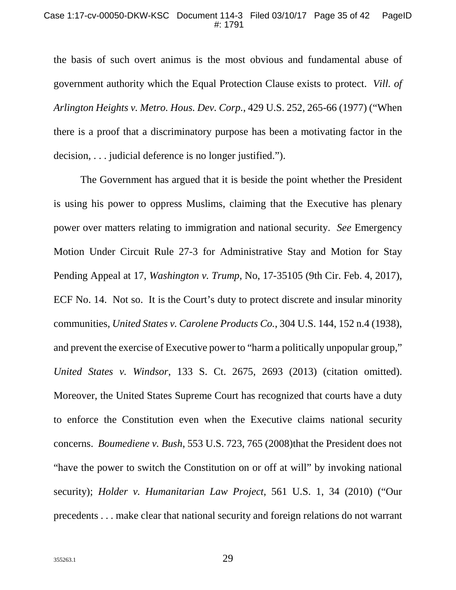the basis of such overt animus is the most obvious and fundamental abuse of government authority which the Equal Protection Clause exists to protect. *Vill. of Arlington Heights v. Metro. Hous. Dev. Corp.*, 429 U.S. 252, 265-66 (1977) ("When there is a proof that a discriminatory purpose has been a motivating factor in the decision, . . . judicial deference is no longer justified.").

The Government has argued that it is beside the point whether the President is using his power to oppress Muslims, claiming that the Executive has plenary power over matters relating to immigration and national security. *See* Emergency Motion Under Circuit Rule 27-3 for Administrative Stay and Motion for Stay Pending Appeal at 17, *Washington v. Trump*, No, 17-35105 (9th Cir. Feb. 4, 2017), ECF No. 14. Not so. It is the Court's duty to protect discrete and insular minority communities, *United States v. Carolene Products Co.*, 304 U.S. 144, 152 n.4 (1938), and prevent the exercise of Executive power to "harm a politically unpopular group," *United States v. Windsor*, 133 S. Ct. 2675, 2693 (2013) (citation omitted). Moreover, the United States Supreme Court has recognized that courts have a duty to enforce the Constitution even when the Executive claims national security concerns. *Boumediene v. Bush*, 553 U.S. 723, 765 (2008)that the President does not "have the power to switch the Constitution on or off at will" by invoking national security); *Holder v. Humanitarian Law Project*, 561 U.S. 1, 34 (2010) ("Our precedents . . . make clear that national security and foreign relations do not warrant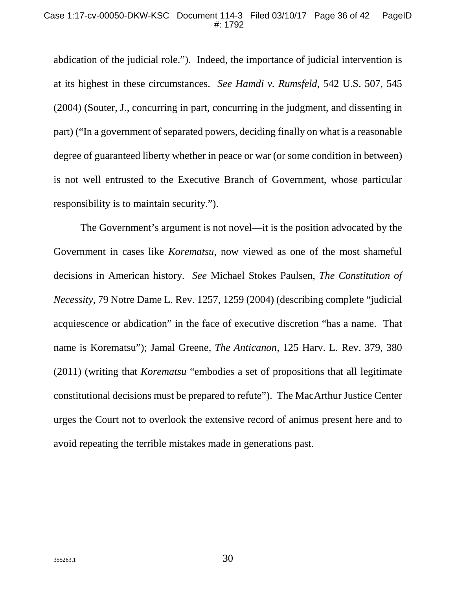abdication of the judicial role."). Indeed, the importance of judicial intervention is at its highest in these circumstances. *See Hamdi v. Rumsfeld*, 542 U.S. 507, 545 (2004) (Souter, J., concurring in part, concurring in the judgment, and dissenting in part) ("In a government of separated powers, deciding finally on what is a reasonable degree of guaranteed liberty whether in peace or war (or some condition in between) is not well entrusted to the Executive Branch of Government, whose particular responsibility is to maintain security.").

The Government's argument is not novel—it is the position advocated by the Government in cases like *Korematsu*, now viewed as one of the most shameful decisions in American history. *See* Michael Stokes Paulsen, *The Constitution of Necessity*, 79 Notre Dame L. Rev. 1257, 1259 (2004) (describing complete "judicial acquiescence or abdication" in the face of executive discretion "has a name. That name is Korematsu"); Jamal Greene, *The Anticanon*, 125 Harv. L. Rev. 379, 380 (2011) (writing that *Korematsu* "embodies a set of propositions that all legitimate constitutional decisions must be prepared to refute"). The MacArthur Justice Center urges the Court not to overlook the extensive record of animus present here and to avoid repeating the terrible mistakes made in generations past.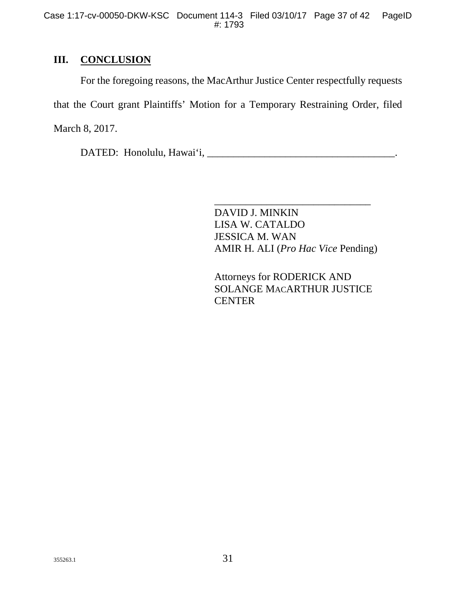## <span id="page-36-0"></span>**III. CONCLUSION**

For the foregoing reasons, the MacArthur Justice Center respectfully requests that the Court grant Plaintiffs' Motion for a Temporary Restraining Order, filed March 8, 2017.

DATED: Honolulu, Hawai'i, \_\_\_\_\_\_\_\_\_\_\_\_\_\_\_\_\_\_\_\_\_\_\_\_\_\_\_\_\_\_\_\_\_\_\_\_.

DAVID J. MINKIN LISA W. CATALDO JESSICA M. WAN AMIR H. ALI (*Pro Hac Vice* Pending)

\_\_\_\_\_\_\_\_\_\_\_\_\_\_\_\_\_\_\_\_\_\_\_\_\_\_\_\_\_\_

Attorneys for RODERICK AND SOLANGE MACARTHUR JUSTICE **CENTER**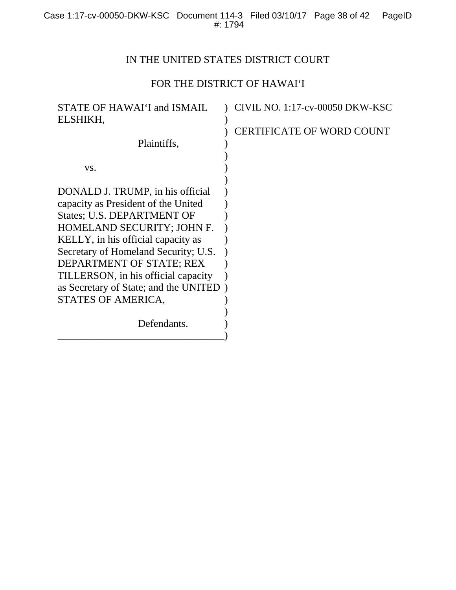## IN THE UNITED STATES DISTRICT COURT

## FOR THE DISTRICT OF HAWAI'I

| STATE OF HAWAI'I and ISMAIL           | CIVIL NO. 1:17-cv-00050 DKW-KSC  |
|---------------------------------------|----------------------------------|
| ELSHIKH,                              |                                  |
|                                       | <b>CERTIFICATE OF WORD COUNT</b> |
| Plaintiffs,                           |                                  |
|                                       |                                  |
| VS.                                   |                                  |
|                                       |                                  |
| DONALD J. TRUMP, in his official      |                                  |
| capacity as President of the United   |                                  |
| States; U.S. DEPARTMENT OF            |                                  |
| HOMELAND SECURITY; JOHN F.            |                                  |
| KELLY, in his official capacity as    |                                  |
| Secretary of Homeland Security; U.S.  |                                  |
| DEPARTMENT OF STATE; REX              |                                  |
| TILLERSON, in his official capacity   |                                  |
| as Secretary of State; and the UNITED |                                  |
| STATES OF AMERICA,                    |                                  |
|                                       |                                  |
| Defendants.                           |                                  |
|                                       |                                  |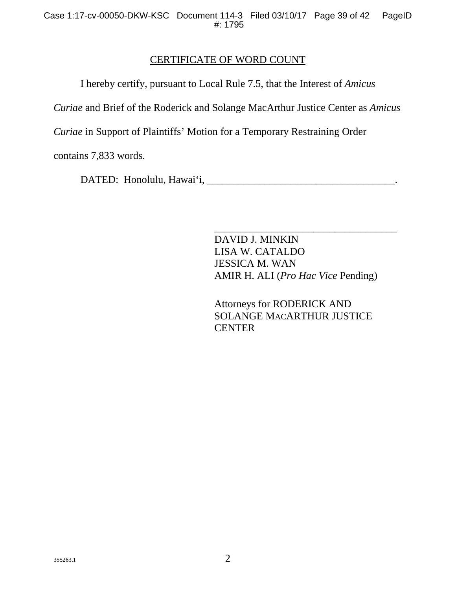## CERTIFICATE OF WORD COUNT

I hereby certify, pursuant to Local Rule 7.5, that the Interest of *Amicus* 

*Curiae* and Brief of the Roderick and Solange MacArthur Justice Center as *Amicus* 

*Curiae* in Support of Plaintiffs' Motion for a Temporary Restraining Order

contains 7,833 words.

DATED: Honolulu, Hawai'i, \_\_\_\_\_\_\_\_\_\_\_\_\_\_\_\_\_\_\_\_\_\_\_\_\_\_\_\_\_\_\_\_\_\_\_\_.

DAVID J. MINKIN LISA W. CATALDO JESSICA M. WAN AMIR H. ALI (*Pro Hac Vice* Pending)

\_\_\_\_\_\_\_\_\_\_\_\_\_\_\_\_\_\_\_\_\_\_\_\_\_\_\_\_\_\_\_\_\_\_\_

Attorneys for RODERICK AND SOLANGE MACARTHUR JUSTICE **CENTER**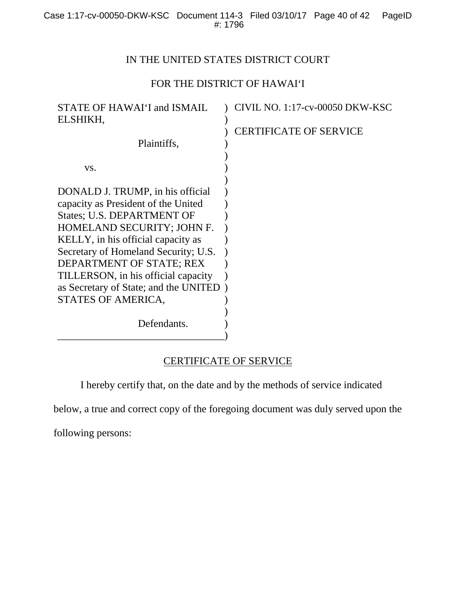# IN THE UNITED STATES DISTRICT COURT

## FOR THE DISTRICT OF HAWAI'I

| STATE OF HAWAI'I and ISMAIL                                     | CIVIL NO. 1:17-cv-00050 DKW-KSC |
|-----------------------------------------------------------------|---------------------------------|
| ELSHIKH,                                                        |                                 |
|                                                                 | CERTIFICATE OF SERVICE          |
| Plaintiffs,                                                     |                                 |
| VS.                                                             |                                 |
|                                                                 |                                 |
| DONALD J. TRUMP, in his official                                |                                 |
| capacity as President of the United                             |                                 |
| <b>States; U.S. DEPARTMENT OF</b>                               |                                 |
| HOMELAND SECURITY; JOHN F.                                      |                                 |
| KELLY, in his official capacity as                              |                                 |
| Secretary of Homeland Security; U.S.                            |                                 |
| DEPARTMENT OF STATE; REX<br>TILLERSON, in his official capacity |                                 |
| as Secretary of State; and the UNITED)                          |                                 |
| STATES OF AMERICA,                                              |                                 |
|                                                                 |                                 |
| Defendants.                                                     |                                 |
|                                                                 |                                 |

# CERTIFICATE OF SERVICE

I hereby certify that, on the date and by the methods of service indicated

below, a true and correct copy of the foregoing document was duly served upon the

following persons: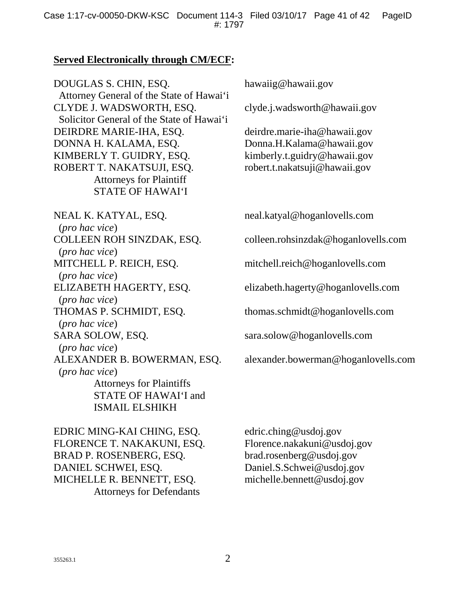#### **Served Electronically through CM/ECF:**

DOUGLAS S. CHIN, ESQ. hawaiig@hawaii.gov Attorney General of the State of Hawai'i CLYDE J. WADSWORTH, ESQ. clyde.j.wadsworth@hawaii.gov Solicitor General of the State of Hawai'i DEIRDRE MARIE-IHA, ESQ. deirdre.marie-iha@hawaii.gov DONNA H. KALAMA, ESQ. Donna.H.Kalama@hawaii.gov KIMBERLY T. GUIDRY, ESQ. kimberly.t.guidry@hawaii.gov ROBERT T. NAKATSUJI, ESQ. robert.t.nakatsuji@hawaii.gov Attorneys for Plaintiff STATE OF HAWAI'I

NEAL K. KATYAL, ESQ. neal.katyal@hoganlovells.com (*pro hac vice*) COLLEEN ROH SINZDAK, ESQ. colleen.rohsinzdak@hoganlovells.com (*pro hac vice*) MITCHELL P. REICH, ESQ. mitchell.reich@hoganlovells.com (*pro hac vice*) ELIZABETH HAGERTY, ESQ. elizabeth.hagerty@hoganlovells.com (*pro hac vice*) THOMAS P. SCHMIDT, ESQ. thomas.schmidt@hoganlovells.com (*pro hac vice*) SARA SOLOW, ESQ. sara.solow@hoganlovells.com (*pro hac vice*) (*pro hac vice*) Attorneys for Plaintiffs STATE OF HAWAI'I and ISMAIL ELSHIKH

ALEXANDER B. BOWERMAN, ESQ. alexander.bowerman@hoganlovells.com

EDRIC MING-KAI CHING, ESQ. edric.ching@usdoj.gov FLORENCE T. NAKAKUNI, ESQ. Florence.nakakuni@usdoj.gov BRAD P. ROSENBERG, ESQ. brad.rosenberg@usdoj.gov DANIEL SCHWEI, ESQ. Daniel.S.Schwei@usdoj.gov MICHELLE R. BENNETT, ESQ. michelle.bennett@usdoj.gov Attorneys for Defendants